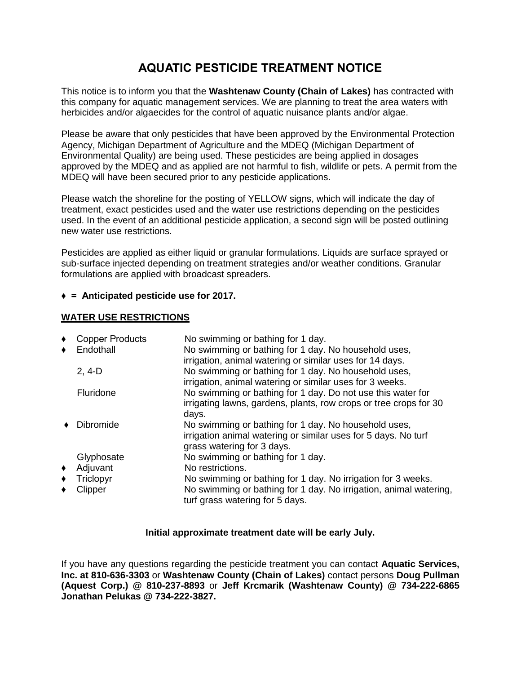# **AQUATIC PESTICIDE TREATMENT NOTICE**

This notice is to inform you that the **Washtenaw County (Chain of Lakes)** has contracted with this company for aquatic management services. We are planning to treat the area waters with herbicides and/or algaecides for the control of aquatic nuisance plants and/or algae.

Please be aware that only pesticides that have been approved by the Environmental Protection Agency, Michigan Department of Agriculture and the MDEQ (Michigan Department of Environmental Quality) are being used. These pesticides are being applied in dosages approved by the MDEQ and as applied are not harmful to fish, wildlife or pets. A permit from the MDEQ will have been secured prior to any pesticide applications.

Please watch the shoreline for the posting of YELLOW signs, which will indicate the day of treatment, exact pesticides used and the water use restrictions depending on the pesticides used. In the event of an additional pesticide application, a second sign will be posted outlining new water use restrictions.

Pesticides are applied as either liquid or granular formulations. Liquids are surface sprayed or sub-surface injected depending on treatment strategies and/or weather conditions. Granular formulations are applied with broadcast spreaders.

### **♦ = Anticipated pesticide use for 2017.**

### **WATER USE RESTRICTIONS**

| ٠ | <b>Copper Products</b> | No swimming or bathing for 1 day.                                                                                                                    |
|---|------------------------|------------------------------------------------------------------------------------------------------------------------------------------------------|
| ٠ | Endothall              | No swimming or bathing for 1 day. No household uses,<br>irrigation, animal watering or similar uses for 14 days.                                     |
|   | $2, 4-D$               | No swimming or bathing for 1 day. No household uses,<br>irrigation, animal watering or similar uses for 3 weeks.                                     |
|   | Fluridone              | No swimming or bathing for 1 day. Do not use this water for<br>irrigating lawns, gardens, plants, row crops or tree crops for 30<br>days.            |
|   | <b>Dibromide</b>       | No swimming or bathing for 1 day. No household uses,<br>irrigation animal watering or similar uses for 5 days. No turf<br>grass watering for 3 days. |
|   | Glyphosate             | No swimming or bathing for 1 day.                                                                                                                    |
| ٠ | Adjuvant               | No restrictions.                                                                                                                                     |
| ٠ | Triclopyr              | No swimming or bathing for 1 day. No irrigation for 3 weeks.                                                                                         |
| ٠ | Clipper                | No swimming or bathing for 1 day. No irrigation, animal watering,<br>turf grass watering for 5 days.                                                 |

### **Initial approximate treatment date will be early July.**

If you have any questions regarding the pesticide treatment you can contact **Aquatic Services, Inc. at 810-636-3303** or **Washtenaw County (Chain of Lakes)** contact persons **Doug Pullman (Aquest Corp.) @ 810-237-8893** or **Jeff Krcmarik (Washtenaw County) @ 734-222-6865 Jonathan Pelukas @ 734-222-3827.**